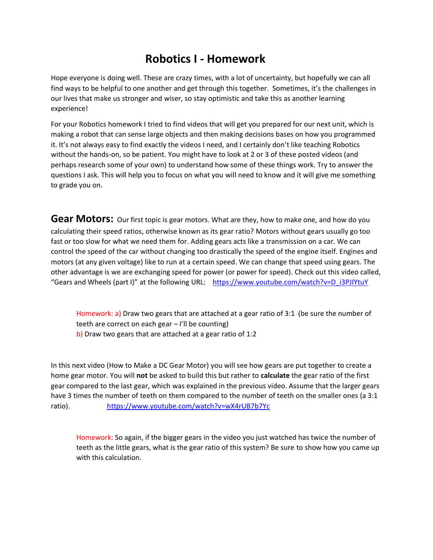## **Robotics I - Homework**

Hope everyone is doing well. These are crazy times, with a lot of uncertainty, but hopefully we can all find ways to be helpful to one another and get through this together. Sometimes, it's the challenges in our lives that make us stronger and wiser, so stay optimistic and take this as another learning experience!

For your Robotics homework I tried to find videos that will get you prepared for our next unit, which is making a robot that can sense large objects and then making decisions bases on how you programmed it. It's not always easy to find exactly the videos I need, and I certainly don't like teaching Robotics without the hands-on, so be patient. You might have to look at 2 or 3 of these posted videos (and perhaps research some of your own) to understand how some of these things work. Try to answer the questions I ask. This will help you to focus on what you will need to know and it will give me something to grade you on.

**Gear Motors:** Our first topic is gear motors. What are they, how to make one, and how do you calculating their speed ratios, otherwise known as its gear ratio? Motors without gears usually go too fast or too slow for what we need them for. Adding gears acts like a transmission on a car. We can control the speed of the car without changing too drastically the speed of the engine itself. Engines and motors (at any given voltage) like to run at a certain speed. We can change that speed using gears. The other advantage is we are exchanging speed for power (or power for speed). Check out this video called, "Gears and Wheels (part I)" at the following URL: [https://www.youtube.com/watch?v=D\\_i3PJIYtuY](https://www.youtube.com/watch?v=D_i3PJIYtuY)

Homework: a) Draw two gears that are attached at a gear ratio of 3:1 (be sure the number of teeth are correct on each gear – I'll be counting)

b) Draw two gears that are attached at a gear ratio of 1:2

In this next video (How to Make a DC Gear Motor) you will see how gears are put together to create a home gear motor. You will **not** be asked to build this but rather to **calculate** the gear ratio of the first gear compared to the last gear, which was explained in the previous video. Assume that the larger gears have 3 times the number of teeth on them compared to the number of teeth on the smaller ones (a 3:1 ratio). <https://www.youtube.com/watch?v=wX4rUB7b7Yc>

Homework: So again, if the bigger gears in the video you just watched has twice the number of teeth as the little gears, what is the gear ratio of this system? Be sure to show how you came up with this calculation.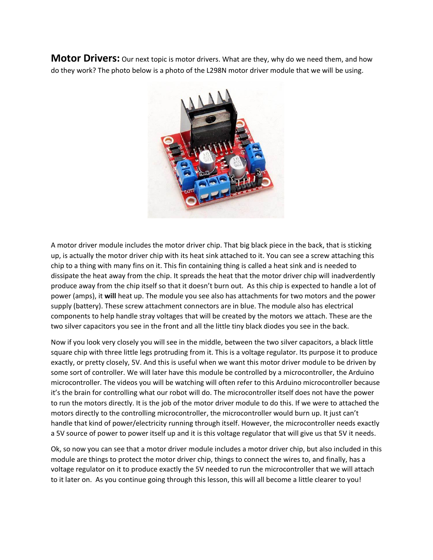Motor Drivers: Our next topic is motor drivers. What are they, why do we need them, and how do they work? The photo below is a photo of the L298N motor driver module that we will be using.



A motor driver module includes the motor driver chip. That big black piece in the back, that is sticking up, is actually the motor driver chip with its heat sink attached to it. You can see a screw attaching this chip to a thing with many fins on it. This fin containing thing is called a heat sink and is needed to dissipate the heat away from the chip. It spreads the heat that the motor driver chip will inadverdently produce away from the chip itself so that it doesn't burn out. As this chip is expected to handle a lot of power (amps), it **will** heat up. The module you see also has attachments for two motors and the power supply (battery). These screw attachment connectors are in blue. The module also has electrical components to help handle stray voltages that will be created by the motors we attach. These are the two silver capacitors you see in the front and all the little tiny black diodes you see in the back.

Now if you look very closely you will see in the middle, between the two silver capacitors, a black little square chip with three little legs protruding from it. This is a voltage regulator. Its purpose it to produce exactly, or pretty closely, 5V. And this is useful when we want this motor driver module to be driven by some sort of controller. We will later have this module be controlled by a microcontroller, the Arduino microcontroller. The videos you will be watching will often refer to this Arduino microcontroller because it's the brain for controlling what our robot will do. The microcontroller itself does not have the power to run the motors directly. It is the job of the motor driver module to do this. If we were to attached the motors directly to the controlling microcontroller, the microcontroller would burn up. It just can't handle that kind of power/electricity running through itself. However, the microcontroller needs exactly a 5V source of power to power itself up and it is this voltage regulator that will give us that 5V it needs.

Ok, so now you can see that a motor driver module includes a motor driver chip, but also included in this module are things to protect the motor driver chip, things to connect the wires to, and finally, has a voltage regulator on it to produce exactly the 5V needed to run the microcontroller that we will attach to it later on. As you continue going through this lesson, this will all become a little clearer to you!